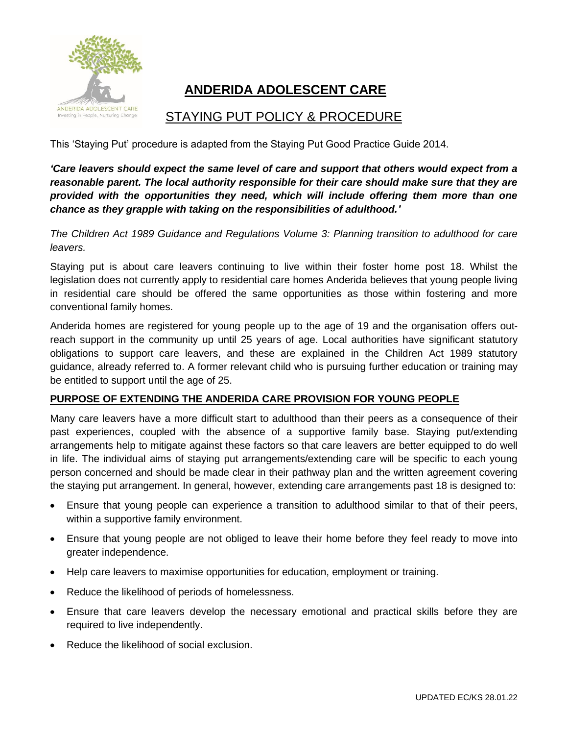

# **ANDERIDA ADOLESCENT CARE**

# STAYING PUT POLICY & PROCEDURE

This 'Staying Put' procedure is adapted from the Staying Put Good Practice Guide 2014.

*'Care leavers should expect the same level of care and support that others would expect from a reasonable parent. The local authority responsible for their care should make sure that they are provided with the opportunities they need, which will include offering them more than one chance as they grapple with taking on the responsibilities of adulthood.'*

*The Children Act 1989 Guidance and Regulations Volume 3: Planning transition to adulthood for care leavers.*

Staying put is about care leavers continuing to live within their foster home post 18. Whilst the legislation does not currently apply to residential care homes Anderida believes that young people living in residential care should be offered the same opportunities as those within fostering and more conventional family homes.

Anderida homes are registered for young people up to the age of 19 and the organisation offers outreach support in the community up until 25 years of age. Local authorities have significant statutory obligations to support care leavers, and these are explained in the Children Act 1989 statutory guidance, already referred to. A former relevant child who is pursuing further education or training may be entitled to support until the age of 25.

#### **PURPOSE OF EXTENDING THE ANDERIDA CARE PROVISION FOR YOUNG PEOPLE**

Many care leavers have a more difficult start to adulthood than their peers as a consequence of their past experiences, coupled with the absence of a supportive family base. Staying put/extending arrangements help to mitigate against these factors so that care leavers are better equipped to do well in life. The individual aims of staying put arrangements/extending care will be specific to each young person concerned and should be made clear in their pathway plan and the written agreement covering the staying put arrangement. In general, however, extending care arrangements past 18 is designed to:

- Ensure that young people can experience a transition to adulthood similar to that of their peers, within a supportive family environment.
- Ensure that young people are not obliged to leave their home before they feel ready to move into greater independence.
- Help care leavers to maximise opportunities for education, employment or training.
- Reduce the likelihood of periods of homelessness.
- Ensure that care leavers develop the necessary emotional and practical skills before they are required to live independently.
- Reduce the likelihood of social exclusion.